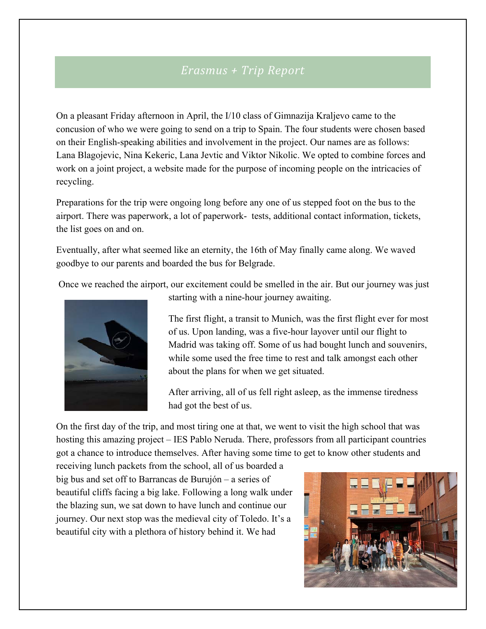## *Erasmus + Trip Report*

On a pleasant Friday afternoon in April, the I/10 class of Gimnazija Kraljevo came to the concusion of who we were going to send on a trip to Spain. The four students were chosen based on their English-speaking abilities and involvement in the project. Our names are as follows: Lana Blagojevic, Nina Kekeric, Lana Jevtic and Viktor Nikolic. We opted to combine forces and work on a joint project, a website made for the purpose of incoming people on the intricacies of recycling.

Preparations for the trip were ongoing long before any one of us stepped foot on the bus to the airport. There was paperwork, a lot of paperwork- tests, additional contact information, tickets, the list goes on and on.

Eventually, after what seemed like an eternity, the 16th of May finally came along. We waved goodbye to our parents and boarded the bus for Belgrade.

Once we reached the airport, our excitement could be smelled in the air. But our journey was just



starting with a nine-hour journey awaiting.

The first flight, a transit to Munich, was the first flight ever for most of us. Upon landing, was a five-hour layover until our flight to Madrid was taking off. Some of us had bought lunch and souvenirs, while some used the free time to rest and talk amongst each other about the plans for when we get situated.

After arriving, all of us fell right asleep, as the immense tiredness had got the best of us.

On the first day of the trip, and most tiring one at that, we went to visit the high school that was hosting this amazing project – IES Pablo Neruda. There, professors from all participant countries got a chance to introduce themselves. After having some time to get to know other students and

receiving lunch packets from the school, all of us boarded a big bus and set off to Barrancas de Burujón – a series of beautiful cliffs facing a big lake. Following a long walk under the blazing sun, we sat down to have lunch and continue our journey. Our next stop was the medieval city of Toledo. It's a beautiful city with a plethora of history behind it. We had